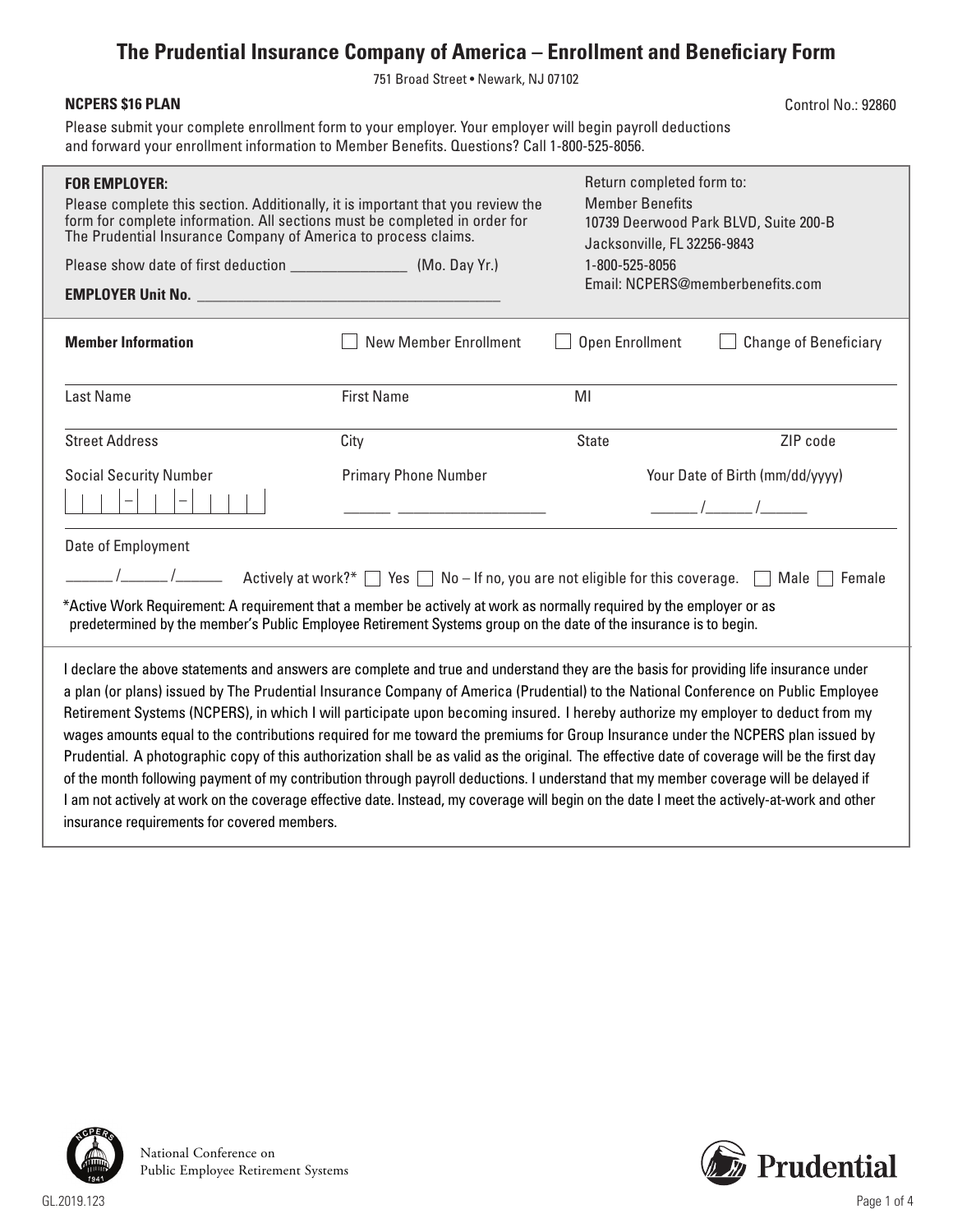## **The Prudential Insurance Company of America – Enrollment and Beneficiary Form**

751 Broad Street • Newark, NJ 07102

## **NCPERS \$16 PLAN**

Control No.: 92860

Please submit your complete enrollment form to your employer. Your employer will begin payroll deductions and forward your enrollment information to Member Benefits. Questions? Call 1-800-525-8056.

| <b>FOR EMPLOYER:</b><br>Please complete this section. Additionally, it is important that you review the<br>form for complete information. All sections must be completed in order for<br>The Prudential Insurance Company of America to process claims.                                                                                                                                                                                                                                                                                                                                                                                                                                                                                                                                                                                                                                                                                                                                                                                     |                              | Return completed form to:<br><b>Member Benefits</b><br>10739 Deerwood Park BLVD, Suite 200-B<br>Jacksonville, FL 32256-9843<br>1-800-525-8056<br>Email: NCPERS@memberbenefits.com |                                 |  |  |
|---------------------------------------------------------------------------------------------------------------------------------------------------------------------------------------------------------------------------------------------------------------------------------------------------------------------------------------------------------------------------------------------------------------------------------------------------------------------------------------------------------------------------------------------------------------------------------------------------------------------------------------------------------------------------------------------------------------------------------------------------------------------------------------------------------------------------------------------------------------------------------------------------------------------------------------------------------------------------------------------------------------------------------------------|------------------------------|-----------------------------------------------------------------------------------------------------------------------------------------------------------------------------------|---------------------------------|--|--|
| <b>Member Information</b>                                                                                                                                                                                                                                                                                                                                                                                                                                                                                                                                                                                                                                                                                                                                                                                                                                                                                                                                                                                                                   | <b>New Member Enrollment</b> | Open Enrollment                                                                                                                                                                   | <b>Change of Beneficiary</b>    |  |  |
| <b>Last Name</b>                                                                                                                                                                                                                                                                                                                                                                                                                                                                                                                                                                                                                                                                                                                                                                                                                                                                                                                                                                                                                            | <b>First Name</b>            | MI                                                                                                                                                                                |                                 |  |  |
| <b>Street Address</b>                                                                                                                                                                                                                                                                                                                                                                                                                                                                                                                                                                                                                                                                                                                                                                                                                                                                                                                                                                                                                       | City                         | <b>State</b>                                                                                                                                                                      | ZIP code                        |  |  |
| <b>Social Security Number</b>                                                                                                                                                                                                                                                                                                                                                                                                                                                                                                                                                                                                                                                                                                                                                                                                                                                                                                                                                                                                               | <b>Primary Phone Number</b>  |                                                                                                                                                                                   | Your Date of Birth (mm/dd/yyyy) |  |  |
| Date of Employment<br>$\sqrt{2}$ Actively at work?* $\Box$ Yes $\Box$ No – If no, you are not eligible for this coverage. $\Box$ Male $\Box$ Female<br>*Active Work Requirement: A requirement that a member be actively at work as normally required by the employer or as<br>predetermined by the member's Public Employee Retirement Systems group on the date of the insurance is to begin.                                                                                                                                                                                                                                                                                                                                                                                                                                                                                                                                                                                                                                             |                              |                                                                                                                                                                                   |                                 |  |  |
| I declare the above statements and answers are complete and true and understand they are the basis for providing life insurance under<br>a plan (or plans) issued by The Prudential Insurance Company of America (Prudential) to the National Conference on Public Employee<br>Retirement Systems (NCPERS), in which I will participate upon becoming insured. I hereby authorize my employer to deduct from my<br>wages amounts equal to the contributions required for me toward the premiums for Group Insurance under the NCPERS plan issued by<br>Prudential. A photographic copy of this authorization shall be as valid as the original. The effective date of coverage will be the first day<br>of the month following payment of my contribution through payroll deductions. I understand that my member coverage will be delayed if<br>I am not actively at work on the coverage effective date. Instead, my coverage will begin on the date I meet the actively-at-work and other<br>insurance requirements for covered members. |                              |                                                                                                                                                                                   |                                 |  |  |



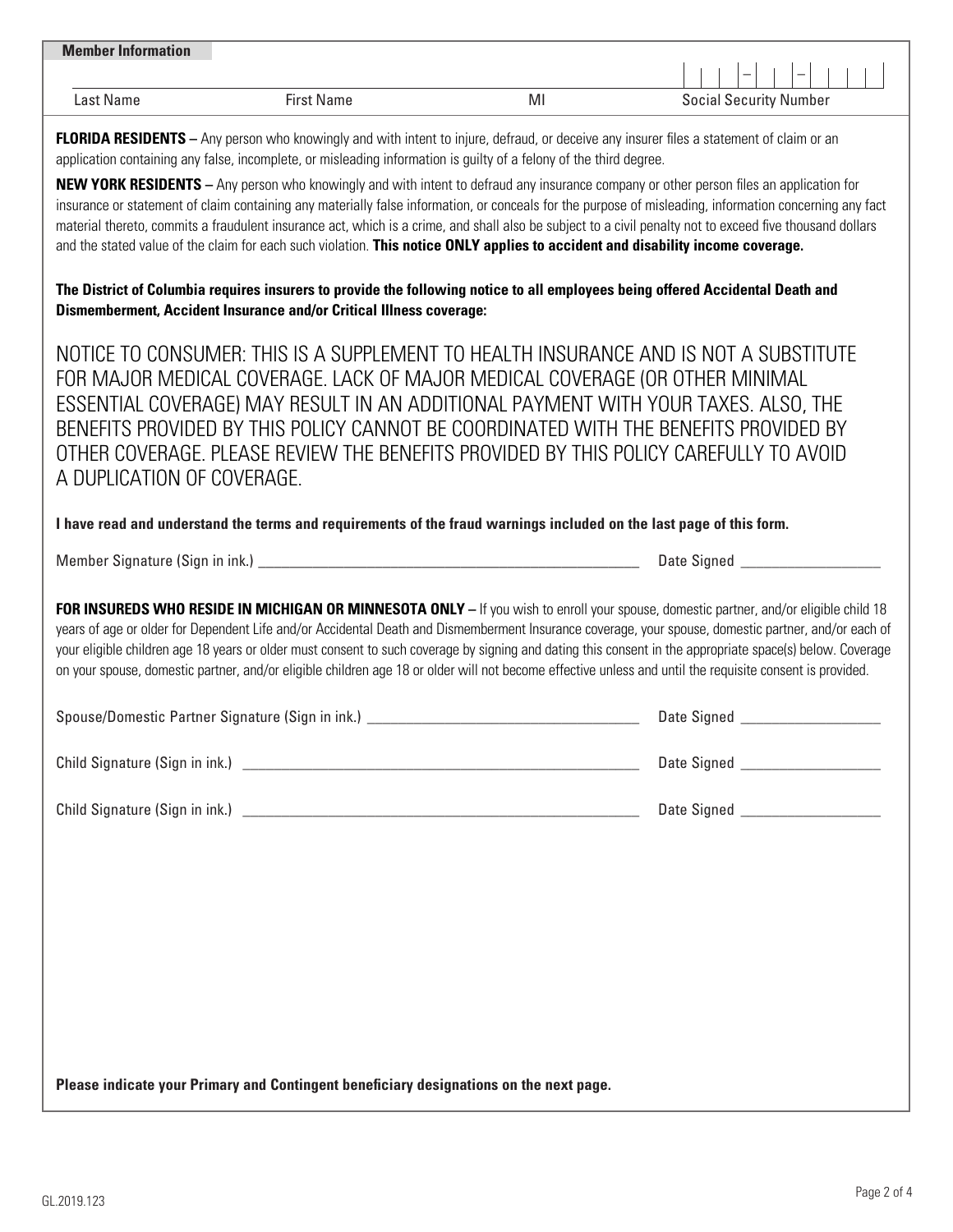| <b>Member Information</b> |                   |   | -<br>–                        |
|---------------------------|-------------------|---|-------------------------------|
| Last Name                 | <b>First Name</b> | M | <b>Social Security Number</b> |

**FLORIDA RESIDENTS** – Any person who knowingly and with intent to injure, defraud, or deceive any insurer files a statement of claim or an application containing any false, incomplete, or misleading information is guilty of a felony of the third degree.

**NEW YORK RESIDENTS –** Any person who knowingly and with intent to defraud any insurance company or other person files an application for insurance or statement of claim containing any materially false information, or conceals for the purpose of misleading, information concerning any fact material thereto, commits a fraudulent insurance act, which is a crime, and shall also be subject to a civil penalty not to exceed five thousand dollars and the stated value of the claim for each such violation. **This notice ONLY applies to accident and disability income coverage.** 

**The District of Columbia requires insurers to provide the following notice to all employees being offered Accidental Death and Dismemberment, Accident Insurance and/or Critical Illness coverage:**

NOTICE TO CONSUMER: THIS IS A SUPPLEMENT TO HEALTH INSURANCE AND IS NOT A SUBSTITUTE FOR MAJOR MEDICAL COVERAGE. LACK OF MAJOR MEDICAL COVERAGE (OR OTHER MINIMAL ESSENTIAL COVERAGE) MAY RESULT IN AN ADDITIONAL PAYMENT WITH YOUR TAXES. ALSO, THE BENEFITS PROVIDED BY THIS POLICY CANNOT BE COORDINATED WITH THE BENEFITS PROVIDED BY OTHER COVERAGE. PLEASE REVIEW THE BENEFITS PROVIDED BY THIS POLICY CAREFULLY TO AVOID A DUPLICATION OF COVERAGE.

**I have read and understand the terms and requirements of the fraud warnings included on the last page of this form.**

Member Signature (Sign in ink.) \_\_\_\_\_\_\_\_\_\_\_\_\_\_\_\_\_\_\_\_\_\_\_\_\_\_\_\_\_\_\_\_\_\_\_\_\_\_\_\_\_\_\_\_\_\_\_\_\_ Date Signed \_\_\_\_\_\_\_\_\_\_\_\_\_\_\_\_\_\_

**FOR INSUREDS WHO RESIDE IN MICHIGAN OR MINNESOTA ONLY** – If you wish to enroll your spouse, domestic partner, and/or eligible child 18 years of age or older for Dependent Life and/or Accidental Death and Dismemberment Insurance coverage, your spouse, domestic partner, and/or each of your eligible children age 18 years or older must consent to such coverage by signing and dating this consent in the appropriate space(s) below. Coverage on your spouse, domestic partner, and/or eligible children age 18 or older will not become effective unless and until the requisite consent is provided.

| Spouse/Domestic Partner Signature (Sign in ink.) | Date Signed |
|--------------------------------------------------|-------------|
| Child Signature (Sign in ink.)                   | Date Signed |
| Child Signature (Sign in ink.)                   | Date Signed |

**Please indicate your Primary and Contingent beneficiary designations on the next page.**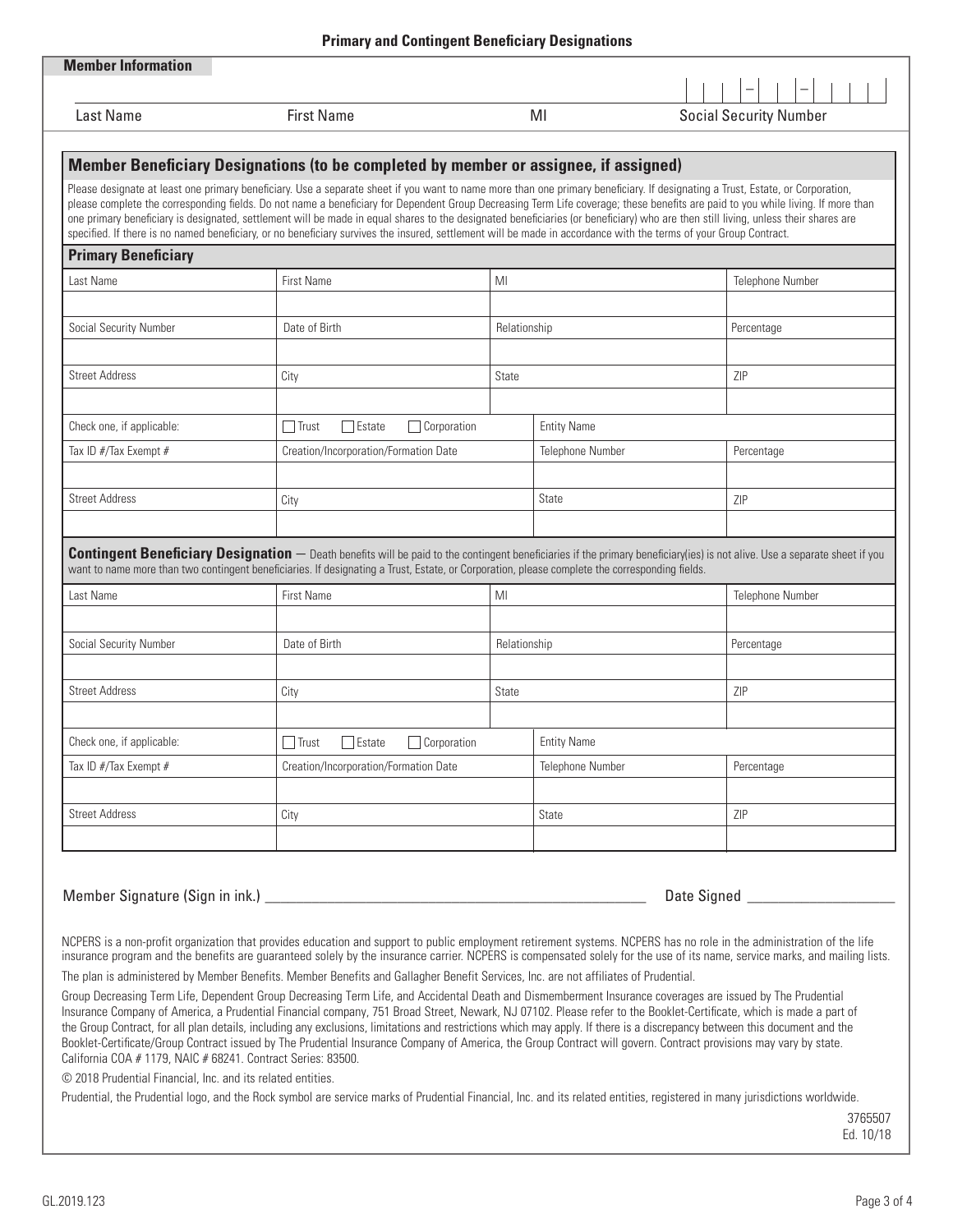| <b>Primary and Contingent Beneficiary Designations</b> |                                                                                                                                                                                                                                                                                                                                                                                                                                                                                                                                           |                                          |       |                                                                                                                                                                                   |  |  |
|--------------------------------------------------------|-------------------------------------------------------------------------------------------------------------------------------------------------------------------------------------------------------------------------------------------------------------------------------------------------------------------------------------------------------------------------------------------------------------------------------------------------------------------------------------------------------------------------------------------|------------------------------------------|-------|-----------------------------------------------------------------------------------------------------------------------------------------------------------------------------------|--|--|
| <b>Member Information</b>                              |                                                                                                                                                                                                                                                                                                                                                                                                                                                                                                                                           |                                          |       |                                                                                                                                                                                   |  |  |
|                                                        |                                                                                                                                                                                                                                                                                                                                                                                                                                                                                                                                           |                                          |       | $\equiv$                                                                                                                                                                          |  |  |
| Last Name                                              | <b>First Name</b>                                                                                                                                                                                                                                                                                                                                                                                                                                                                                                                         |                                          | MI    | <b>Social Security Number</b>                                                                                                                                                     |  |  |
|                                                        |                                                                                                                                                                                                                                                                                                                                                                                                                                                                                                                                           |                                          |       |                                                                                                                                                                                   |  |  |
|                                                        | Member Beneficiary Designations (to be completed by member or assignee, if assigned)                                                                                                                                                                                                                                                                                                                                                                                                                                                      |                                          |       |                                                                                                                                                                                   |  |  |
|                                                        | Please designate at least one primary beneficiary. Use a separate sheet if you want to name more than one primary beneficiary. If designating a Trust, Estate, or Corporation,<br>one primary beneficiary is designated, settlement will be made in equal shares to the designated beneficiaries (or beneficiary) who are then still living, unless their shares are<br>specified. If there is no named beneficiary, or no beneficiary survives the insured, settlement will be made in accordance with the terms of your Group Contract. |                                          |       | please complete the corresponding fields. Do not name a beneficiary for Dependent Group Decreasing Term Life coverage; these benefits are paid to you while living. If more than  |  |  |
| <b>Primary Beneficiary</b>                             |                                                                                                                                                                                                                                                                                                                                                                                                                                                                                                                                           |                                          |       |                                                                                                                                                                                   |  |  |
| Last Name                                              | <b>First Name</b>                                                                                                                                                                                                                                                                                                                                                                                                                                                                                                                         | MI                                       |       | Telephone Number                                                                                                                                                                  |  |  |
|                                                        |                                                                                                                                                                                                                                                                                                                                                                                                                                                                                                                                           |                                          |       |                                                                                                                                                                                   |  |  |
| Social Security Number                                 | Date of Birth                                                                                                                                                                                                                                                                                                                                                                                                                                                                                                                             | Relationship                             |       | Percentage                                                                                                                                                                        |  |  |
| <b>Street Address</b>                                  | City                                                                                                                                                                                                                                                                                                                                                                                                                                                                                                                                      | <b>State</b>                             |       | <b>ZIP</b>                                                                                                                                                                        |  |  |
|                                                        |                                                                                                                                                                                                                                                                                                                                                                                                                                                                                                                                           |                                          |       |                                                                                                                                                                                   |  |  |
| Check one, if applicable:                              | $\Box$ Estate<br>$\Box$ Trust                                                                                                                                                                                                                                                                                                                                                                                                                                                                                                             | $\Box$ Corporation<br><b>Entity Name</b> |       |                                                                                                                                                                                   |  |  |
| Tax ID #/Tax Exempt #                                  |                                                                                                                                                                                                                                                                                                                                                                                                                                                                                                                                           | Creation/Incorporation/Formation Date    |       | Percentage                                                                                                                                                                        |  |  |
| <b>Street Address</b>                                  | City                                                                                                                                                                                                                                                                                                                                                                                                                                                                                                                                      | State                                    |       | ZIP                                                                                                                                                                               |  |  |
|                                                        |                                                                                                                                                                                                                                                                                                                                                                                                                                                                                                                                           |                                          |       |                                                                                                                                                                                   |  |  |
|                                                        | want to name more than two contingent beneficiaries. If designating a Trust, Estate, or Corporation, please complete the corresponding fields.                                                                                                                                                                                                                                                                                                                                                                                            |                                          |       | <b>Contingent Beneficiary Designation</b> - Death benefits will be paid to the contingent beneficiaries if the primary beneficiary(ies) is not alive. Use a separate sheet if you |  |  |
| Last Name                                              | <b>First Name</b>                                                                                                                                                                                                                                                                                                                                                                                                                                                                                                                         | MI                                       |       | Telephone Number                                                                                                                                                                  |  |  |
|                                                        |                                                                                                                                                                                                                                                                                                                                                                                                                                                                                                                                           |                                          |       |                                                                                                                                                                                   |  |  |
| Social Security Number                                 | Date of Birth                                                                                                                                                                                                                                                                                                                                                                                                                                                                                                                             | Relationship                             |       | Percentage                                                                                                                                                                        |  |  |
| <b>Street Address</b>                                  | City                                                                                                                                                                                                                                                                                                                                                                                                                                                                                                                                      | <b>State</b>                             |       | ZIP                                                                                                                                                                               |  |  |
|                                                        |                                                                                                                                                                                                                                                                                                                                                                                                                                                                                                                                           |                                          |       |                                                                                                                                                                                   |  |  |
| Check one, if applicable:                              | $\Box$ Estate<br>$\Box$ Trust                                                                                                                                                                                                                                                                                                                                                                                                                                                                                                             | Corporation<br><b>Entity Name</b>        |       |                                                                                                                                                                                   |  |  |
| Tax ID #/Tax Exempt #                                  |                                                                                                                                                                                                                                                                                                                                                                                                                                                                                                                                           | Creation/Incorporation/Formation Date    |       | Percentage                                                                                                                                                                        |  |  |
| <b>Street Address</b>                                  | City                                                                                                                                                                                                                                                                                                                                                                                                                                                                                                                                      |                                          | State | ZIP                                                                                                                                                                               |  |  |
|                                                        |                                                                                                                                                                                                                                                                                                                                                                                                                                                                                                                                           |                                          |       |                                                                                                                                                                                   |  |  |
|                                                        |                                                                                                                                                                                                                                                                                                                                                                                                                                                                                                                                           |                                          |       |                                                                                                                                                                                   |  |  |
| Member Signature (Sign in ink.) _____                  |                                                                                                                                                                                                                                                                                                                                                                                                                                                                                                                                           |                                          |       | Date Signed _________                                                                                                                                                             |  |  |

NCPERS is a non-profit organization that provides education and support to public employment retirement systems. NCPERS has no role in the administration of the life insurance program and the benefits are guaranteed solely by the insurance carrier. NCPERS is compensated solely for the use of its name, service marks, and mailing lists.

The plan is administered by Member Benefits. Member Benefits and Gallagher Benefit Services, Inc. are not affiliates of Prudential.

Group Decreasing Term Life, Dependent Group Decreasing Term Life, and Accidental Death and Dismemberment Insurance coverages are issued by The Prudential Insurance Company of America, a Prudential Financial company, 751 Broad Street, Newark, NJ 07102. Please refer to the Booklet-Certificate, which is made a part of the Group Contract, for all plan details, including any exclusions, limitations and restrictions which may apply. If there is a discrepancy between this document and the Booklet-Certificate/Group Contract issued by The Prudential Insurance Company of America, the Group Contract will govern. Contract provisions may vary by state. California COA # 1179, NAIC # 68241. Contract Series: 83500.

© 2018 Prudential Financial, Inc. and its related entities.

Prudential, the Prudential logo, and the Rock symbol are service marks of Prudential Financial, Inc. and its related entities, registered in many jurisdictions worldwide.

3765507 Ed. 10/18